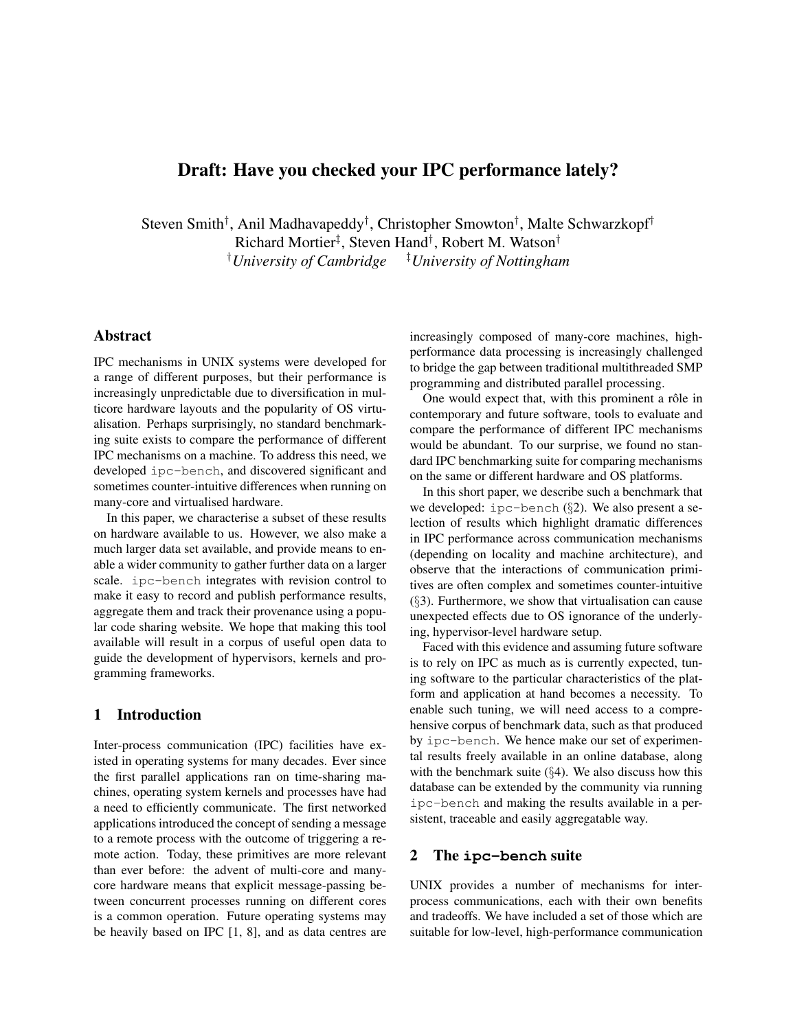# Draft: Have you checked your IPC performance lately?

Steven Smith† , Anil Madhavapeddy† , Christopher Smowton† , Malte Schwarzkopf† Richard Mortier‡ , Steven Hand† , Robert M. Watson† †*University of Cambridge* ‡*University of Nottingham*

### Abstract

IPC mechanisms in UNIX systems were developed for a range of different purposes, but their performance is increasingly unpredictable due to diversification in multicore hardware layouts and the popularity of OS virtualisation. Perhaps surprisingly, no standard benchmarking suite exists to compare the performance of different IPC mechanisms on a machine. To address this need, we developed ipc-bench, and discovered significant and sometimes counter-intuitive differences when running on many-core and virtualised hardware.

In this paper, we characterise a subset of these results on hardware available to us. However, we also make a much larger data set available, and provide means to enable a wider community to gather further data on a larger scale. ipc-bench integrates with revision control to make it easy to record and publish performance results, aggregate them and track their provenance using a popular code sharing website. We hope that making this tool available will result in a corpus of useful open data to guide the development of hypervisors, kernels and programming frameworks.

### 1 Introduction

Inter-process communication (IPC) facilities have existed in operating systems for many decades. Ever since the first parallel applications ran on time-sharing machines, operating system kernels and processes have had a need to efficiently communicate. The first networked applications introduced the concept of sending a message to a remote process with the outcome of triggering a remote action. Today, these primitives are more relevant than ever before: the advent of multi-core and manycore hardware means that explicit message-passing between concurrent processes running on different cores is a common operation. Future operating systems may be heavily based on IPC [1, 8], and as data centres are increasingly composed of many-core machines, highperformance data processing is increasingly challenged to bridge the gap between traditional multithreaded SMP programming and distributed parallel processing.

One would expect that, with this prominent a rôle in contemporary and future software, tools to evaluate and compare the performance of different IPC mechanisms would be abundant. To our surprise, we found no standard IPC benchmarking suite for comparing mechanisms on the same or different hardware and OS platforms.

In this short paper, we describe such a benchmark that we developed:  $\text{ipc}-\text{bench}(\S2)$ . We also present a selection of results which highlight dramatic differences in IPC performance across communication mechanisms (depending on locality and machine architecture), and observe that the interactions of communication primitives are often complex and sometimes counter-intuitive (§3). Furthermore, we show that virtualisation can cause unexpected effects due to OS ignorance of the underlying, hypervisor-level hardware setup.

Faced with this evidence and assuming future software is to rely on IPC as much as is currently expected, tuning software to the particular characteristics of the platform and application at hand becomes a necessity. To enable such tuning, we will need access to a comprehensive corpus of benchmark data, such as that produced by ipc-bench. We hence make our set of experimental results freely available in an online database, along with the benchmark suite  $(\S 4)$ . We also discuss how this database can be extended by the community via running ipc-bench and making the results available in a persistent, traceable and easily aggregatable way.

#### 2 The **ipc-bench** suite

UNIX provides a number of mechanisms for interprocess communications, each with their own benefits and tradeoffs. We have included a set of those which are suitable for low-level, high-performance communication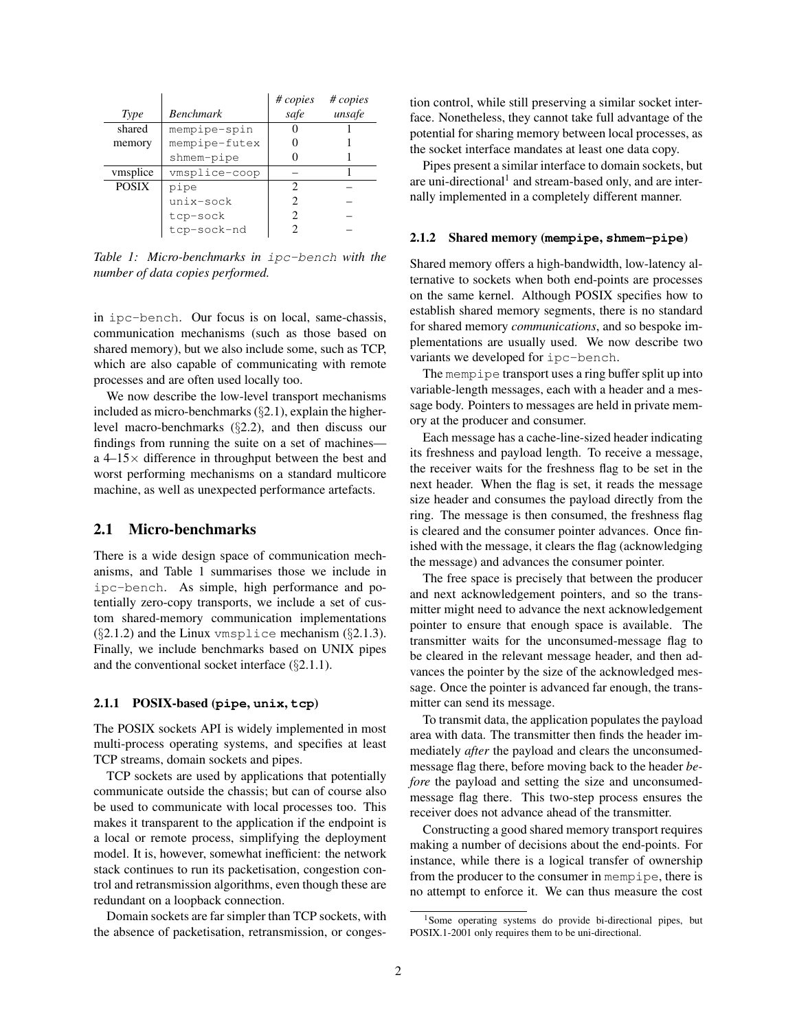|              |                  | # copies       | # copies |
|--------------|------------------|----------------|----------|
| Type         | <b>Benchmark</b> | safe           | unsafe   |
| shared       | mempipe-spin     |                |          |
| memory       | mempipe-futex    |                |          |
|              | shmem-pipe       |                |          |
| vmsplice     | vmsplice-coop    |                |          |
| <b>POSIX</b> | pipe             | $\mathfrak{D}$ |          |
|              | unix-sock        | $\mathfrak{D}$ |          |
|              | tcp-sock         | 2              |          |
|              | tcp-sock-nd      |                |          |

*Table 1: Micro-benchmarks in* ipc-bench *with the number of data copies performed.*

in ipc-bench. Our focus is on local, same-chassis, communication mechanisms (such as those based on shared memory), but we also include some, such as TCP, which are also capable of communicating with remote processes and are often used locally too.

We now describe the low-level transport mechanisms included as micro-benchmarks  $(\S 2.1)$ , explain the higherlevel macro-benchmarks (§2.2), and then discuss our findings from running the suite on a set of machines a 4–15× difference in throughput between the best and worst performing mechanisms on a standard multicore machine, as well as unexpected performance artefacts.

## 2.1 Micro-benchmarks

There is a wide design space of communication mechanisms, and Table 1 summarises those we include in ipc-bench. As simple, high performance and potentially zero-copy transports, we include a set of custom shared-memory communication implementations  $(\S2.1.2)$  and the Linux vmsplice mechanism  $(\S2.1.3)$ . Finally, we include benchmarks based on UNIX pipes and the conventional socket interface (§2.1.1).

#### 2.1.1 POSIX-based (**pipe**, **unix**, **tcp**)

The POSIX sockets API is widely implemented in most multi-process operating systems, and specifies at least TCP streams, domain sockets and pipes.

TCP sockets are used by applications that potentially communicate outside the chassis; but can of course also be used to communicate with local processes too. This makes it transparent to the application if the endpoint is a local or remote process, simplifying the deployment model. It is, however, somewhat inefficient: the network stack continues to run its packetisation, congestion control and retransmission algorithms, even though these are redundant on a loopback connection.

Domain sockets are far simpler than TCP sockets, with the absence of packetisation, retransmission, or congestion control, while still preserving a similar socket interface. Nonetheless, they cannot take full advantage of the potential for sharing memory between local processes, as the socket interface mandates at least one data copy.

Pipes present a similar interface to domain sockets, but are uni-directional<sup>1</sup> and stream-based only, and are internally implemented in a completely different manner.

#### 2.1.2 Shared memory (**mempipe**, **shmem-pipe**)

Shared memory offers a high-bandwidth, low-latency alternative to sockets when both end-points are processes on the same kernel. Although POSIX specifies how to establish shared memory segments, there is no standard for shared memory *communications*, and so bespoke implementations are usually used. We now describe two variants we developed for ipc-bench.

The mempipe transport uses a ring buffer split up into variable-length messages, each with a header and a message body. Pointers to messages are held in private memory at the producer and consumer.

Each message has a cache-line-sized header indicating its freshness and payload length. To receive a message, the receiver waits for the freshness flag to be set in the next header. When the flag is set, it reads the message size header and consumes the payload directly from the ring. The message is then consumed, the freshness flag is cleared and the consumer pointer advances. Once finished with the message, it clears the flag (acknowledging the message) and advances the consumer pointer.

The free space is precisely that between the producer and next acknowledgement pointers, and so the transmitter might need to advance the next acknowledgement pointer to ensure that enough space is available. The transmitter waits for the unconsumed-message flag to be cleared in the relevant message header, and then advances the pointer by the size of the acknowledged message. Once the pointer is advanced far enough, the transmitter can send its message.

To transmit data, the application populates the payload area with data. The transmitter then finds the header immediately *after* the payload and clears the unconsumedmessage flag there, before moving back to the header *before* the payload and setting the size and unconsumedmessage flag there. This two-step process ensures the receiver does not advance ahead of the transmitter.

Constructing a good shared memory transport requires making a number of decisions about the end-points. For instance, while there is a logical transfer of ownership from the producer to the consumer in mempipe, there is no attempt to enforce it. We can thus measure the cost

<sup>&</sup>lt;sup>1</sup>Some operating systems do provide bi-directional pipes, but POSIX.1-2001 only requires them to be uni-directional.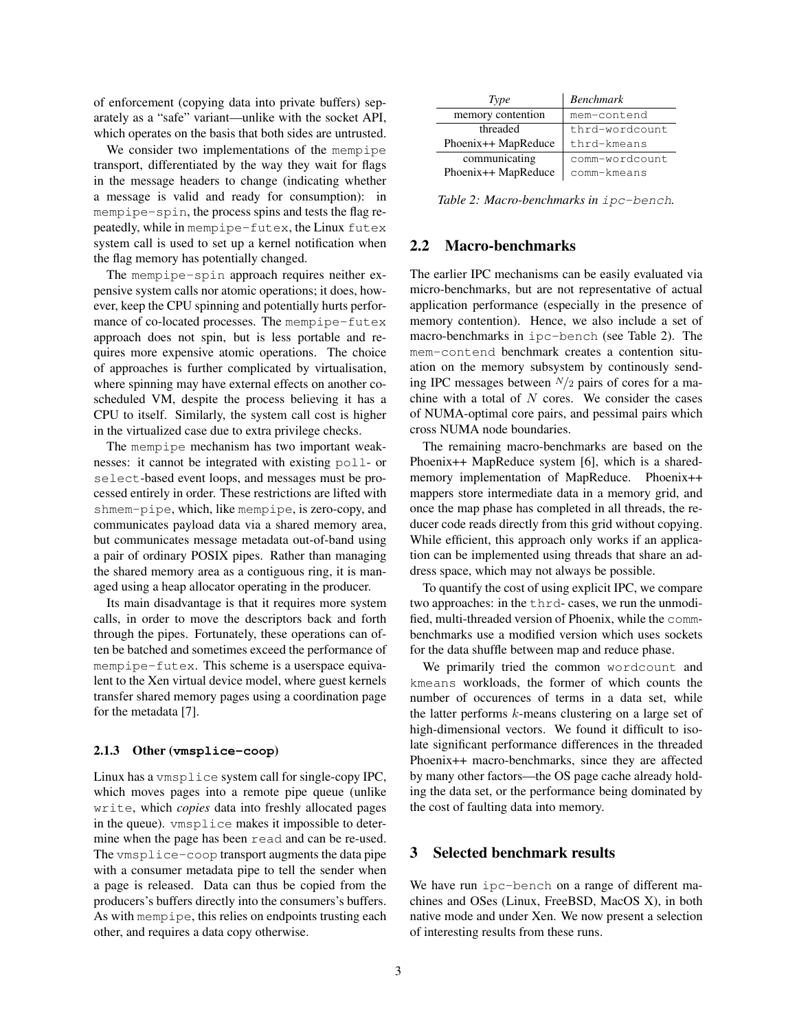of enforcement (copying data into private buffers) separately as a "safe" variant—unlike with the socket API, which operates on the basis that both sides are untrusted.

We consider two implementations of the mempipe transport, differentiated by the way they wait for flags in the message headers to change (indicating whether a message is valid and ready for consumption): in mempipe-spin, the process spins and tests the flag repeatedly, while in mempipe-futex, the Linux futex system call is used to set up a kernel notification when the flag memory has potentially changed.

The mempipe-spin approach requires neither expensive system calls nor atomic operations; it does, however, keep the CPU spinning and potentially hurts performance of co-located processes. The mempipe-futex approach does not spin, but is less portable and requires more expensive atomic operations. The choice of approaches is further complicated by virtualisation, where spinning may have external effects on another coscheduled VM, despite the process believing it has a CPU to itself. Similarly, the system call cost is higher in the virtualized case due to extra privilege checks.

The mempipe mechanism has two important weaknesses: it cannot be integrated with existing poll- or select-based event loops, and messages must be processed entirely in order. These restrictions are lifted with shmem-pipe, which, like mempipe, is zero-copy, and communicates payload data via a shared memory area, but communicates message metadata out-of-band using a pair of ordinary POSIX pipes. Rather than managing the shared memory area as a contiguous ring, it is managed using a heap allocator operating in the producer.

Its main disadvantage is that it requires more system calls, in order to move the descriptors back and forth through the pipes. Fortunately, these operations can often be batched and sometimes exceed the performance of mempipe-futex. This scheme is a userspace equivalent to the Xen virtual device model, where guest kernels transfer shared memory pages using a coordination page for the metadata [7].

#### 2.1.3 Other (**vmsplice-coop**)

Linux has a vmsplice system call for single-copy IPC, which moves pages into a remote pipe queue (unlike write, which *copies* data into freshly allocated pages in the queue). vmsplice makes it impossible to determine when the page has been read and can be re-used. The vmsplice-coop transport augments the data pipe with a consumer metadata pipe to tell the sender when a page is released. Data can thus be copied from the producers's buffers directly into the consumers's buffers. As with mempipe, this relies on endpoints trusting each other, and requires a data copy otherwise.

| Type                | <b>Benchmark</b> |
|---------------------|------------------|
| memory contention   | mem-contend      |
| threaded            | thrd-wordcount   |
| Phoenix++ MapReduce | thrd-kmeans      |
| communicating       | comm-wordcount   |
| Phoenix++ MapReduce | comm-kmeans      |

*Table 2: Macro-benchmarks in* ipc-bench*.*

### 2.2 Macro-benchmarks

The earlier IPC mechanisms can be easily evaluated via micro-benchmarks, but are not representative of actual application performance (especially in the presence of memory contention). Hence, we also include a set of macro-benchmarks in ipc-bench (see Table 2). The mem-contend benchmark creates a contention situation on the memory subsystem by continously sending IPC messages between  $N/2$  pairs of cores for a machine with a total of  $N$  cores. We consider the cases of NUMA-optimal core pairs, and pessimal pairs which cross NUMA node boundaries.

The remaining macro-benchmarks are based on the Phoenix++ MapReduce system [6], which is a sharedmemory implementation of MapReduce. Phoenix++ mappers store intermediate data in a memory grid, and once the map phase has completed in all threads, the reducer code reads directly from this grid without copying. While efficient, this approach only works if an application can be implemented using threads that share an address space, which may not always be possible.

To quantify the cost of using explicit IPC, we compare two approaches: in the thrd- cases, we run the unmodified, multi-threaded version of Phoenix, while the commbenchmarks use a modified version which uses sockets for the data shuffle between map and reduce phase.

We primarily tried the common wordcount and kmeans workloads, the former of which counts the number of occurences of terms in a data set, while the latter performs k-means clustering on a large set of high-dimensional vectors. We found it difficult to isolate significant performance differences in the threaded Phoenix++ macro-benchmarks, since they are affected by many other factors—the OS page cache already holding the data set, or the performance being dominated by the cost of faulting data into memory.

### 3 Selected benchmark results

We have run ipc-bench on a range of different machines and OSes (Linux, FreeBSD, MacOS X), in both native mode and under Xen. We now present a selection of interesting results from these runs.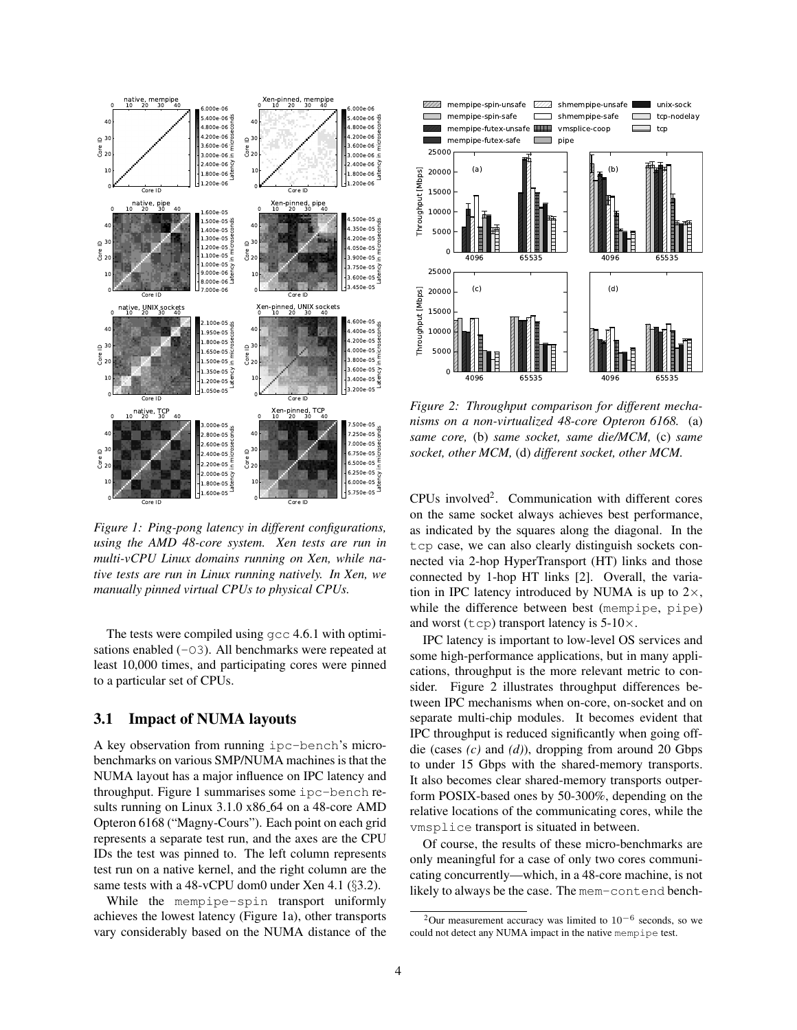

*Figure 1: Ping-pong latency in different configurations, using the AMD 48-core system. Xen tests are run in multi-vCPU Linux domains running on Xen, while native tests are run in Linux running natively. In Xen, we manually pinned virtual CPUs to physical CPUs.*

The tests were compiled using gcc 4.6.1 with optimisations enabled  $(-03)$ . All benchmarks were repeated at least 10,000 times, and participating cores were pinned to a particular set of CPUs.

#### 3.1 Impact of NUMA layouts

A key observation from running ipc-bench's microbenchmarks on various SMP/NUMA machines is that the NUMA layout has a major influence on IPC latency and throughput. Figure 1 summarises some ipc-bench results running on Linux 3.1.0 x86<sub>-64</sub> on a 48-core AMD Opteron 6168 ("Magny-Cours"). Each point on each grid represents a separate test run, and the axes are the CPU IDs the test was pinned to. The left column represents test run on a native kernel, and the right column are the same tests with a 48-vCPU dom0 under Xen 4.1 ( $\S$ 3.2).

While the mempipe-spin transport uniformly achieves the lowest latency (Figure 1a), other transports vary considerably based on the NUMA distance of the



*Figure 2: Throughput comparison for different mechanisms on a non-virtualized 48-core Opteron 6168.* (a) *same core,* (b) *same socket, same die/MCM,* (c) *same socket, other MCM,* (d) *different socket, other MCM.*

CPUs involved<sup>2</sup> . Communication with different cores on the same socket always achieves best performance, as indicated by the squares along the diagonal. In the tcp case, we can also clearly distinguish sockets connected via 2-hop HyperTransport (HT) links and those connected by 1-hop HT links [2]. Overall, the variation in IPC latency introduced by NUMA is up to  $2\times$ , while the difference between best (mempipe, pipe) and worst ( $tcp$ ) transport latency is 5-10 $\times$ .

IPC latency is important to low-level OS services and some high-performance applications, but in many applications, throughput is the more relevant metric to consider. Figure 2 illustrates throughput differences between IPC mechanisms when on-core, on-socket and on separate multi-chip modules. It becomes evident that IPC throughput is reduced significantly when going offdie (cases *(c)* and *(d)*), dropping from around 20 Gbps to under 15 Gbps with the shared-memory transports. It also becomes clear shared-memory transports outperform POSIX-based ones by 50-300%, depending on the relative locations of the communicating cores, while the vmsplice transport is situated in between.

Of course, the results of these micro-benchmarks are only meaningful for a case of only two cores communicating concurrently—which, in a 48-core machine, is not likely to always be the case. The mem-contend bench-

 $2$ Our measurement accuracy was limited to  $10^{-6}$  seconds, so we could not detect any NUMA impact in the native mempipe test.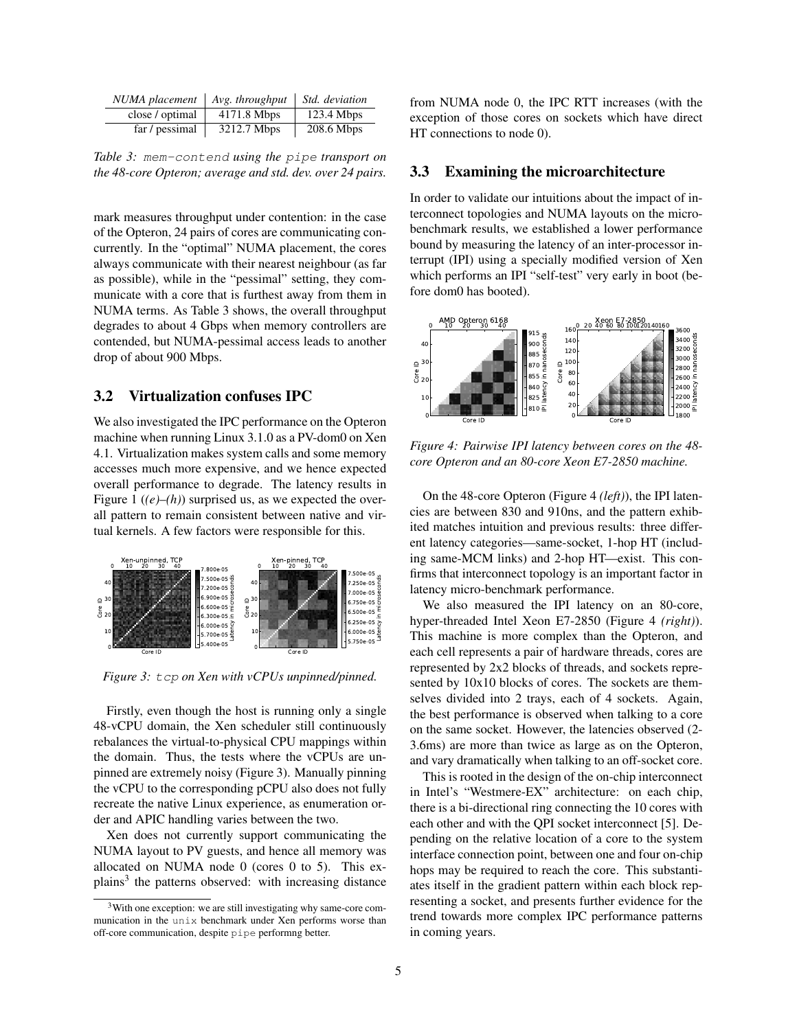| NUMA placement  | $Avg.$ throughput | Std. deviation |
|-----------------|-------------------|----------------|
| close / optimal | 4171.8 Mbps       | $123.4$ Mbps   |
| far / pessimal  | 3212.7 Mbps       | 208.6 Mbps     |

*Table 3:* mem-contend *using the* pipe *transport on the 48-core Opteron; average and std. dev. over 24 pairs.*

mark measures throughput under contention: in the case of the Opteron, 24 pairs of cores are communicating concurrently. In the "optimal" NUMA placement, the cores always communicate with their nearest neighbour (as far as possible), while in the "pessimal" setting, they communicate with a core that is furthest away from them in NUMA terms. As Table 3 shows, the overall throughput degrades to about 4 Gbps when memory controllers are contended, but NUMA-pessimal access leads to another drop of about 900 Mbps.

#### 3.2 Virtualization confuses IPC

We also investigated the IPC performance on the Opteron machine when running Linux 3.1.0 as a PV-dom0 on Xen 4.1. Virtualization makes system calls and some memory accesses much more expensive, and we hence expected overall performance to degrade. The latency results in Figure 1 (*(e)*–*(h)*) surprised us, as we expected the overall pattern to remain consistent between native and virtual kernels. A few factors were responsible for this.



*Figure 3:* tcp *on Xen with vCPUs unpinned/pinned.*

Firstly, even though the host is running only a single 48-vCPU domain, the Xen scheduler still continuously rebalances the virtual-to-physical CPU mappings within the domain. Thus, the tests where the vCPUs are unpinned are extremely noisy (Figure 3). Manually pinning the vCPU to the corresponding pCPU also does not fully recreate the native Linux experience, as enumeration order and APIC handling varies between the two.

Xen does not currently support communicating the NUMA layout to PV guests, and hence all memory was allocated on NUMA node 0 (cores 0 to 5). This explains<sup>3</sup> the patterns observed: with increasing distance from NUMA node 0, the IPC RTT increases (with the exception of those cores on sockets which have direct HT connections to node 0).

#### 3.3 Examining the microarchitecture

In order to validate our intuitions about the impact of interconnect topologies and NUMA layouts on the microbenchmark results, we established a lower performance bound by measuring the latency of an inter-processor interrupt (IPI) using a specially modified version of Xen which performs an IPI "self-test" very early in boot (before dom0 has booted).



*Figure 4: Pairwise IPI latency between cores on the 48 core Opteron and an 80-core Xeon E7-2850 machine.*

On the 48-core Opteron (Figure 4 *(left)*), the IPI latencies are between 830 and 910ns, and the pattern exhibited matches intuition and previous results: three different latency categories—same-socket, 1-hop HT (including same-MCM links) and 2-hop HT—exist. This confirms that interconnect topology is an important factor in latency micro-benchmark performance.

We also measured the IPI latency on an 80-core, hyper-threaded Intel Xeon E7-2850 (Figure 4 *(right)*). This machine is more complex than the Opteron, and each cell represents a pair of hardware threads, cores are represented by 2x2 blocks of threads, and sockets represented by 10x10 blocks of cores. The sockets are themselves divided into 2 trays, each of 4 sockets. Again, the best performance is observed when talking to a core on the same socket. However, the latencies observed (2- 3.6ms) are more than twice as large as on the Opteron, and vary dramatically when talking to an off-socket core.

This is rooted in the design of the on-chip interconnect in Intel's "Westmere-EX" architecture: on each chip, there is a bi-directional ring connecting the 10 cores with each other and with the QPI socket interconnect [5]. Depending on the relative location of a core to the system interface connection point, between one and four on-chip hops may be required to reach the core. This substantiates itself in the gradient pattern within each block representing a socket, and presents further evidence for the trend towards more complex IPC performance patterns in coming years.

<sup>3</sup>With one exception: we are still investigating why same-core communication in the unix benchmark under Xen performs worse than off-core communication, despite pipe performng better.